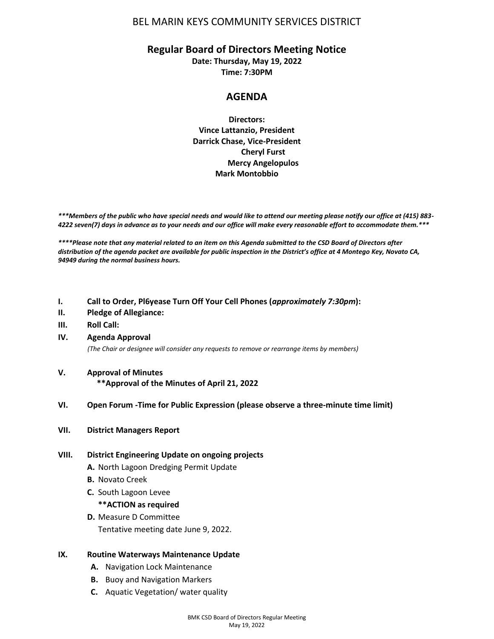## BEL MARIN KEYS COMMUNITY SERVICES DISTRICT

## **Regular Board of Directors Meeting Notice**

**Date: Thursday, May 19, 2022 Time: 7:30PM**

# **AGENDA**

**Directors: Vince Lattanzio, President Darrick Chase, Vice-President Cheryl Furst Mercy Angelopulos Mark Montobbio**

*\*\*\*Members of the public who have special needs and would like to attend our meeting please notify our office at (415) 883- 4222 seven(7) days in advance as to your needs and our office will make every reasonable effort to accommodate them.\*\*\**

*\*\*\*\*Please note that any material related to an item on this Agenda submitted to the CSD Board of Directors after distribution of the agenda packet are available for public inspection in the District's office at 4 Montego Key, Novato CA, 94949 during the normal business hours.*

- **I. Call to Order, Pl6yease Turn Off Your Cell Phones (***approximately 7:30pm***):**
- **II. Pledge of Allegiance:**
- **III. Roll Call:**
- **IV. Agenda Approval**

*(The Chair or designee will consider any requests to remove or rearrange items by members)*

- **V. Approval of Minutes \*\*Approval of the Minutes of April 21, 2022**
- **VI. Open Forum -Time for Public Expression (please observe a three-minute time limit)**
- **VII. District Managers Report**

#### **VIII. District Engineering Update on ongoing projects**

- **A.** North Lagoon Dredging Permit Update
- **B.** Novato Creek
- **C.** South Lagoon Levee

#### **\*\*ACTION as required**

- **D.** Measure D Committee
	- Tentative meeting date June 9, 2022.

#### **IX. Routine Waterways Maintenance Update**

- **A.** Navigation Lock Maintenance
- **B.** Buoy and Navigation Markers
- **C.** Aquatic Vegetation/ water quality